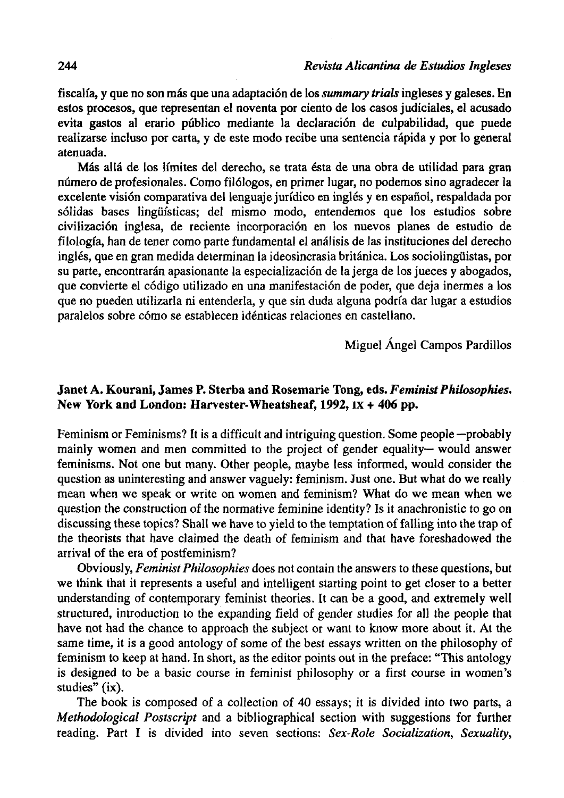fiscalía, y que no son más que una adaptación de los *summary triáis* ingleses y galeses. En estos procesos, que representan el noventa por ciento de los casos judiciales, el acusado evita gastos al erario público mediante la declaración de culpabilidad, que puede realizarse incluso por carta, y de este modo recibe una sentencia rápida y por lo general atenuada.

Más allá de los límites del derecho, se trata ésta de una obra de utilidad para gran número de profesionales. Como filólogos, en primer lugar, no podemos sino agradecer la excelente visión comparativa del lenguaje jurídico en inglés y en español, respaldada por sólidas bases lingüísticas; del mismo modo, entendemos que los estudios sobre civilización inglesa, de reciente incorporación en los nuevos planes de estudio de filología, han de tener como parte fundamental el análisis de las instituciones del derecho inglés, que en gran medida determinan la ideosincrasia británica. Los sociolingüistas, por su parte, encontrarán apasionante la especialización de la jerga de los jueces y abogados, que convierte el código utilizado en una manifestación de poder, que deja inermes a los que no pueden utilizarla ni entenderla, y que sin duda alguna podría dar lugar a estudios paralelos sobre cómo se establecen idénticas relaciones en castellano.

Miguel Ángel Campos Pardillos

## **Janet A. Kourani, James P. Sterba and Rosemarie Tong, eds.** *Feminist Philosophies.*  **New York and London: Harvester-Wheatsheaf, 1992, IX + 406 pp.**

Feminism or Feminisms? It is a difficult and intriguing question. Some people —probably mainly women and men committed to the project of gender equality— would answer feminisms. Not one but many. Other people, maybe less informed, would consider the question as uninteresting and answer vaguely: feminism. Just one. But what do we really mean when we speak or write on women and feminism? What do we mean when we question the construction of the normative femínine identity? Is it anachronistic to go on discussing these topics? Shall we have to yield to the temptation of falling into the trap of the theorists that have claímed the death of feminism and that have foreshadowed the arrival of the era of postfeminism?

Obviously, *Feminist Philosophies* does not contain the answers to these questions, but we think that it represents a useful and intelligent starting point to get closer to a better understanding of contemporary feminist theories. It can be a good, and extremely well structured, introduction to the expanding field of gender studies for all the people that have not had the chance to approach the subject or want to know more about it. At the same time, it is a good antology of some of the best essays written on the philosophy of feminism to keep at hand. In short, as the editor points out in the preface: "This antology is designed to be a basic course in feminist philosophy or a first course in women's studies" (ix).

The book is composed of a collection of 40 essays; it is divided into two parts, a *Methodological Postscript* and a bibliographical section with suggestions for further reading. Part I is divided into seven sections: Sex-Role Socialization, Sexuality,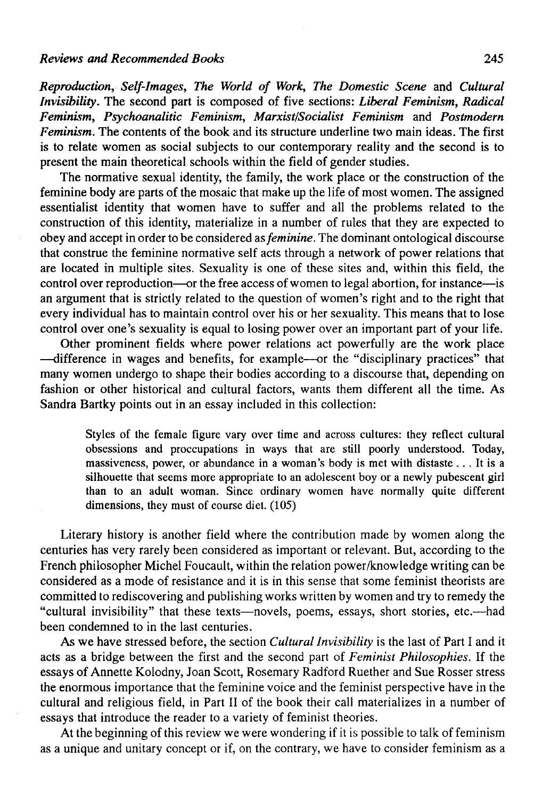*Reproduction, Self-Images, The World of Work, The Domestic Scene* and *Cultural Invisibility.* The second part is composed of five sections: *Liberal Feminism, Radical Feminism, Psychoanalitic Feminism, Marxist/Socialist Feminism* and *Postmodern Feminism.* The contents of the book and its structure underline two main ideas. The first is to relate women as social subjects to our contemporary reality and the second is to present the main theoretical schools within the field of gender studies.

The normative sexual identity, the family, the work place or the construction of the feminine body are parts of the mosaic that make up the life of most women. The assigned essentialist identity that women have to suffer and all the problems related to the construction of this identity, materialize in a number of rules that they are expected to obey and accept in order to be considered *as feminine.* The dominant ontological discourse that construe the feminine normative self acts through a network of power relations that are located in multiple sites. Sexuality is one of these sites and, within this field, the control over reproduction—or the free access of women to legal abortion, for instance—is an argument that is strictly related to the question of women's right and to the right that every individual has to maintain control over his or her sexuality. This means that to lose control over one's sexuality is equal to losing power over an important part of your life.

Other prominent fields where power relations act powerfully are the work place —difference in wages and benefits, for example—or the "disciplinary practices" that many women undergo to shape their bodies according to a discourse that, depending on fashion or other historical and cultural factors, wants them different all the time. As Sandra Bartky points out in an essay included in this collection:

Styles of the female figure vary over time and across cultures: they reflect cultural obsessions and proccupations in ways that are still poorly understood. Today, massiveness, power, or abundance in a woman's body is met with distaste .. . It is a silhouette that seems more appropriate to an adolescent boy or a newly pubescent girl than to an adult woman. Since ordinary women have normally quite different dimensions, they must of course diet. (105)

Literary history is another field where the contribution made by women along the centuries has very rarely been considered as important or relevant. But, according to the French philosopher Michel Foucault, within the relation power/knowledge writing can be considered as a mode of resistance and it is in this sense that some feminist theorists are committed to rediscovering and publishing works written by women and try to remedy the "cultural invisibility" that these texts—novéis, poems, essays, short stories, etc.—had been condemned to in the last centuries.

As we have stressed before, the section *Cultural Invisibility* is the last of Part I and it acts as a bridge between the first and the second part of *Feminist Philosophies.* If the essays of Annette Kolodny, Joan Scott, Rosemary Radford Ruether and Sue Rosser stress the enormous importance that the feminine voice and the feminist perspective have in the cultural and religious field, in Part II of the book their cali materializes in a number of essays that introduce the reader to a variety of feminist theories.

At the beginning of this review we were wondering if it is possible to talk of feminism as a unique and unitary concept or if, on the contrary, we have to consider feminism as a